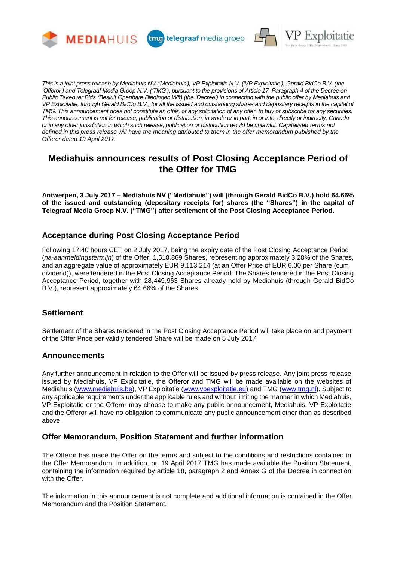

tmg telegraaf media groep



*This is a joint press release by Mediahuis NV ('Mediahuis'), VP Exploitatie N.V. ('VP Exploitatie'), Gerald BidCo B.V. (the 'Offeror') and Telegraaf Media Groep N.V. ('TMG'), pursuant to the provisions of Article 17, Paragraph 4 of the Decree on Public Takeover Bids (Besluit Openbare Biedingen Wft) (the 'Decree') in connection with the public offer by Mediahuis and VP Exploitatie, through Gerald BidCo B.V., for all the issued and outstanding shares and depositary receipts in the capital of TMG. This announcement does not constitute an offer, or any solicitation of any offer, to buy or subscribe for any securities. This announcement is not for release, publication or distribution, in whole or in part, in or into, directly or indirectly, Canada or in any other jurisdiction in which such release, publication or distribution would be unlawful. Capitalised terms not defined in this press release will have the meaning attributed to them in the offer memorandum published by the Offeror dated 19 April 2017.*

# **Mediahuis announces results of Post Closing Acceptance Period of the Offer for TMG**

**Antwerpen, 3 July 2017 – Mediahuis NV ("Mediahuis") will (through Gerald BidCo B.V.) hold 64.66% of the issued and outstanding (depositary receipts for) shares (the "Shares") in the capital of Telegraaf Media Groep N.V. ("TMG") after settlement of the Post Closing Acceptance Period.**

## **Acceptance during Post Closing Acceptance Period**

Following 17:40 hours CET on 2 July 2017, being the expiry date of the Post Closing Acceptance Period (*na-aanmeldingstermijn*) of the Offer, 1,518,869 Shares, representing approximately 3.28% of the Shares, and an aggregate value of approximately EUR 9,113,214 (at an Offer Price of EUR 6.00 per Share (cum dividend)), were tendered in the Post Closing Acceptance Period. The Shares tendered in the Post Closing Acceptance Period, together with 28,449,963 Shares already held by Mediahuis (through Gerald BidCo B.V.), represent approximately 64.66% of the Shares.

# **Settlement**

Settlement of the Shares tendered in the Post Closing Acceptance Period will take place on and payment of the Offer Price per validly tendered Share will be made on 5 July 2017.

### **Announcements**

Any further announcement in relation to the Offer will be issued by press release. Any joint press release issued by Mediahuis, VP Exploitatie, the Offeror and TMG will be made available on the websites of Mediahuis [\(www.mediahuis.be\)](http://www.mediahuis.be/), VP Exploitatie [\(www.vpexploitatie.eu\)](http://www.vpexploitatie.eu/) and TMG [\(www.tmg.nl\)](http://www.tmg.nl/). Subject to any applicable requirements under the applicable rules and without limiting the manner in which Mediahuis, VP Exploitatie or the Offeror may choose to make any public announcement, Mediahuis, VP Exploitatie and the Offeror will have no obligation to communicate any public announcement other than as described above.

### **Offer Memorandum, Position Statement and further information**

The Offeror has made the Offer on the terms and subject to the conditions and restrictions contained in the Offer Memorandum. In addition, on 19 April 2017 TMG has made available the Position Statement, containing the information required by article 18, paragraph 2 and Annex G of the Decree in connection with the Offer.

The information in this announcement is not complete and additional information is contained in the Offer Memorandum and the Position Statement.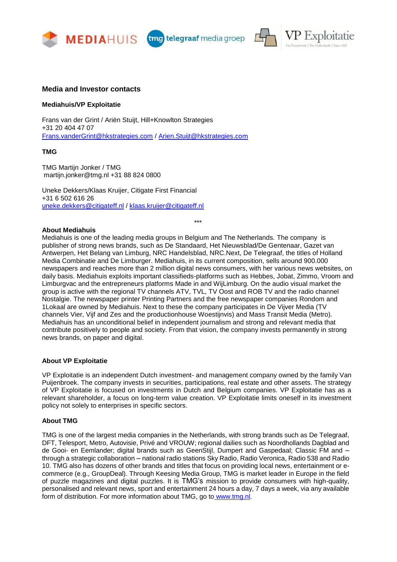



#### **Media and Investor contacts**

#### **Mediahuis/VP Exploitatie**

Frans van der Grint / Ariën Stuijt, Hill+Knowlton Strategies +31 20 404 47 07 [Frans.vanderGrint@hkstrategies.com](mailto:Frans.vanderGrint@hkstrategies.com) / [Arien.Stuijt@hkstrategies](mailto:Arien.Stuijt@hkstrategies.com).com

#### **TMG**

TMG Martijn Jonker / TMG martijn.jonker@tmg.nl +31 88 824 0800

Uneke Dekkers/Klaas Kruijer, Citigate First Financial +31 6 502 616 26 [uneke.dekkers@citigateff.nl](mailto:uneke.dekkers@citigateff.nl) / [klaas.kruijer@citigateff.nl](mailto:klaas.kruijer@citigateff.nl)

**About Mediahuis**

Mediahuis is one of the leading media groups in Belgium and The Netherlands. The company is publisher of strong news brands, such as De Standaard, Het Nieuwsblad/De Gentenaar, Gazet van Antwerpen, Het Belang van Limburg, NRC Handelsblad, NRC.Next, De Telegraaf, the titles of Holland Media Combinatie and De Limburger. Mediahuis, in its current composition, sells around 900.000 newspapers and reaches more than 2 million digital news consumers, with her various news websites, on daily basis. Mediahuis exploits important classifieds-platforms such as Hebbes, Jobat, Zimmo, Vroom and Limburgvac and the entrepreneurs platforms Made in and WijLimburg. On the audio visual market the group is active with the regional TV channels ATV, TVL, TV Oost and ROB TV and the radio channel Nostalgie. The newspaper printer Printing Partners and the free newspaper companies Rondom and 1Lokaal are owned by Mediahuis. Next to these the company participates in De Vijver Media (TV channels Vier, Vijf and Zes and the productionhouse Woestijnvis) and Mass Transit Media (Metro). Mediahuis has an unconditional belief in independent journalism and strong and relevant media that contribute positively to people and society. From that vision, the company invests permanently in strong news brands, on paper and digital.

\*\*\*

#### **About VP Exploitatie**

VP Exploitatie is an independent Dutch investment- and management company owned by the family Van Puijenbroek. The company invests in securities, participations, real estate and other assets. The strategy of VP Exploitatie is focused on investments in Dutch and Belgium companies. VP Exploitatie has as a relevant shareholder, a focus on long-term value creation. VP Exploitatie limits oneself in its investment policy not solely to enterprises in specific sectors.

#### **About TMG**

TMG is one of the largest media companies in the Netherlands, with strong brands such as De Telegraaf, DFT, Telesport, Metro, Autovisie, Privé and VROUW; regional dailies such as Noordhollands Dagblad and de Gooi- en Eemlander; digital brands such as GeenStijl, Dumpert and Gaspedaal; Classic FM and – through a strategic collaboration – national radio stations Sky Radio, Radio Veronica, Radio 538 and Radio 10. TMG also has dozens of other brands and titles that focus on providing local news, entertainment or ecommerce (e.g., GroupDeal). Through Keesing Media Group, TMG is market leader in Europe in the field of puzzle magazines and digital puzzles. It is TMG's mission to provide consumers with high-quality, personalised and relevant news, sport and entertainment 24 hours a day, 7 days a week, via any available form of distribution. For more information about TMG, go to [www.tmg.nl.](http://www.tmg.nl/)